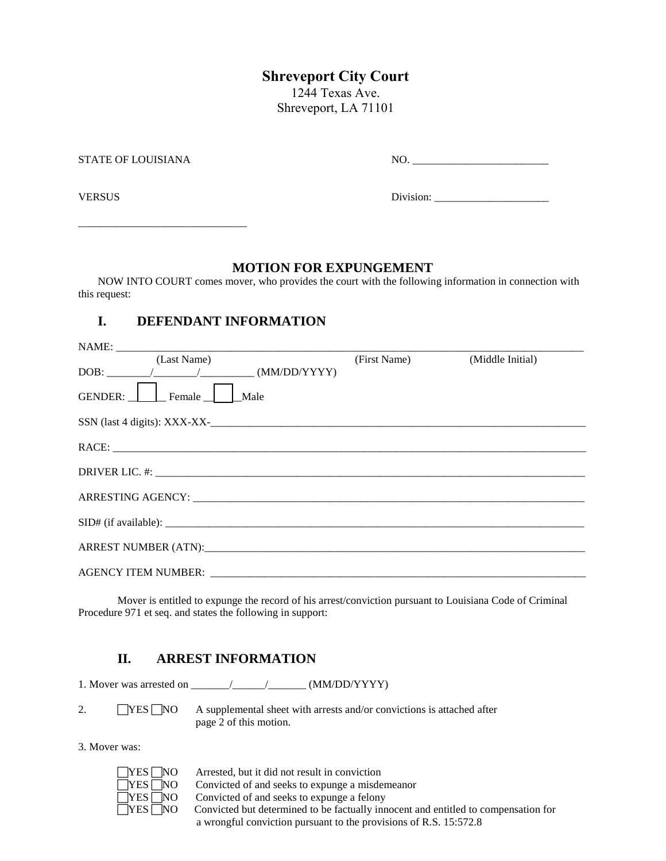# **Shreveport City Court**

1244 Texas Ave. Shreveport, LA 71101

| STATE OF LOUISIANA | NO        |
|--------------------|-----------|
| <b>VERSUS</b>      | Division: |

### **MOTION FOR EXPUNGEMENT**

NOW INTO COURT comes mover, who provides the court with the following information in connection with this request:

## **I. DEFENDANT INFORMATION**

\_\_\_\_\_\_\_\_\_\_\_\_\_\_\_\_\_\_\_\_\_\_\_\_\_\_\_\_\_\_\_

| (Last Name)                                                                   | (First Name) (Middle Initial) |  |
|-------------------------------------------------------------------------------|-------------------------------|--|
| $\boxed{\text{DOB:}\_\_\_\_\_\_\_}/\_\_\_\_\_\_\_} \quad \text{(MM/DD/YYYY)}$ |                               |  |
| GENDER: Female<br>  Male                                                      |                               |  |
|                                                                               |                               |  |
|                                                                               |                               |  |
|                                                                               |                               |  |
|                                                                               |                               |  |
| SID# (if available):                                                          |                               |  |
|                                                                               |                               |  |
|                                                                               |                               |  |

Mover is entitled to expunge the record of his arrest/conviction pursuant to Louisiana Code of Criminal Procedure 971 et seq. and states the following in support:

### **II. ARREST INFORMATION**

1. Mover was arrested on \_\_\_\_\_\_\_/\_\_\_\_\_\_/\_\_\_\_\_\_\_ (MM/DD/YYYY)

2. **THES NO** A supplemental sheet with arrests and/or convictions is attached after page 2 of this motion.

3. Mover was:

| YES                                                  |
|------------------------------------------------------|
| YES                                                  |
| YES [<br>۱U                                          |
| $YES$ <sup><math>\overline{\phantom{a}}</math></sup> |

Arrested, but it did not result in conviction Convicted of and seeks to expunge a misdemeanor Convicted of and seeks to expunge a felony Convicted but determined to be factually innocent and entitled to compensation for a wrongful conviction pursuant to the provisions of R.S. 15:572.8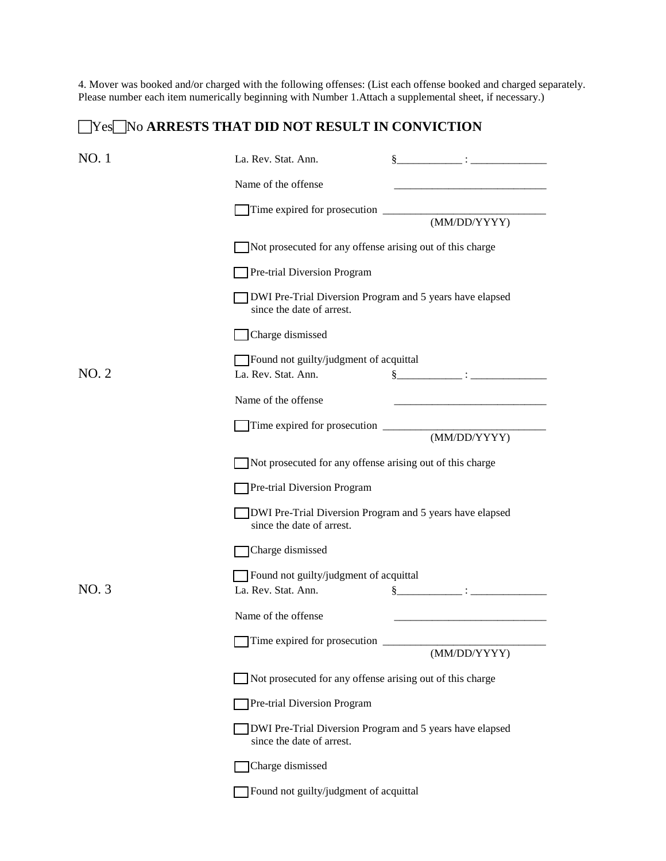4. Mover was booked and/or charged with the following offenses: (List each offense booked and charged separately. Please number each item numerically beginning with Number 1.Attach a supplemental sheet, if necessary.)

## No ARRESTS THAT DID NOT RESULT IN CONVICTION

| NO. 1 | La. Rev. Stat. Ann.<br>$\S$ . The set of $\S$                                                                                                                                                                                                                                                   |
|-------|-------------------------------------------------------------------------------------------------------------------------------------------------------------------------------------------------------------------------------------------------------------------------------------------------|
|       | Name of the offense                                                                                                                                                                                                                                                                             |
|       | (MM/DD/YYYY)                                                                                                                                                                                                                                                                                    |
|       | Not prosecuted for any offense arising out of this charge                                                                                                                                                                                                                                       |
|       | Pre-trial Diversion Program                                                                                                                                                                                                                                                                     |
|       | DWI Pre-Trial Diversion Program and 5 years have elapsed<br>since the date of arrest.                                                                                                                                                                                                           |
|       | Charge dismissed                                                                                                                                                                                                                                                                                |
| NO.2  | Found not guilty/judgment of acquittal<br>La. Rev. Stat. Ann.<br>$\S$ . The contract of the contract of the contract of the contract of the contract of the contract of the contract of the contract of the contract of the contract of the contract of the contract of the contract of the con |
|       | Name of the offense<br><u> 1980 - Jan James James Barnett, fransk politik (d. 1980)</u>                                                                                                                                                                                                         |
|       | (MM/DD/YYYY)                                                                                                                                                                                                                                                                                    |
|       | Not prosecuted for any offense arising out of this charge                                                                                                                                                                                                                                       |
|       | Pre-trial Diversion Program                                                                                                                                                                                                                                                                     |
|       | DWI Pre-Trial Diversion Program and 5 years have elapsed<br>since the date of arrest.                                                                                                                                                                                                           |
|       | Charge dismissed                                                                                                                                                                                                                                                                                |
| NO.3  | Found not guilty/judgment of acquittal<br>La. Rev. Stat. Ann.<br>$\S$ $\qquad \qquad \qquad :$ $\qquad \qquad$                                                                                                                                                                                  |
|       | Name of the offense                                                                                                                                                                                                                                                                             |
|       | Time expired for prosecution<br>(MM/DD/YYYY)                                                                                                                                                                                                                                                    |
|       | Not prosecuted for any offense arising out of this charge                                                                                                                                                                                                                                       |
|       | Pre-trial Diversion Program                                                                                                                                                                                                                                                                     |
|       | DWI Pre-Trial Diversion Program and 5 years have elapsed<br>since the date of arrest.                                                                                                                                                                                                           |
|       | Charge dismissed                                                                                                                                                                                                                                                                                |
|       | Found not guilty/judgment of acquittal                                                                                                                                                                                                                                                          |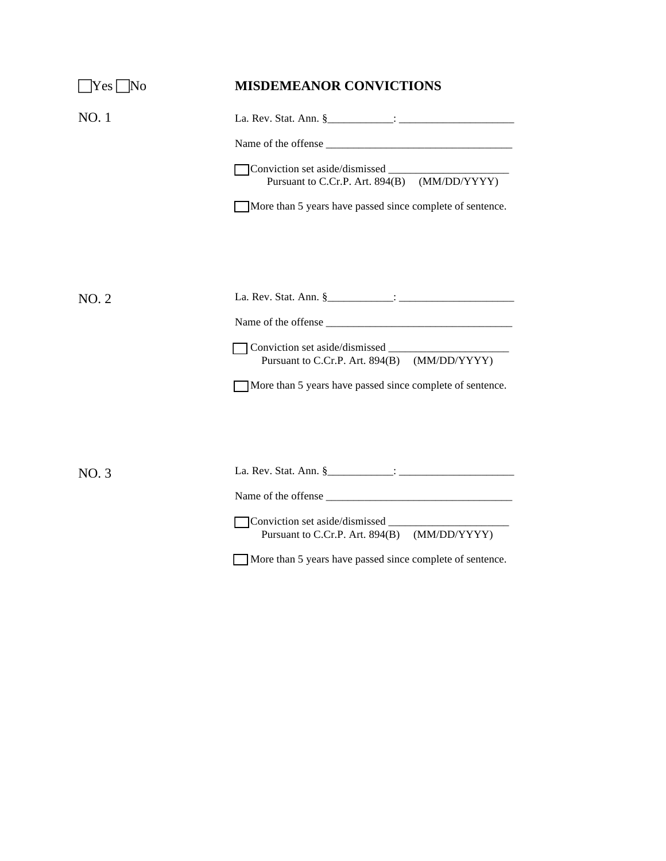| $ Yes $ No | <b>MISDEMEANOR CONVICTIONS</b>                            |
|------------|-----------------------------------------------------------|
| NO.1       |                                                           |
|            |                                                           |
|            | Pursuant to C.Cr.P. Art. 894(B) (MM/DD/YYYY)              |
|            | More than 5 years have passed since complete of sentence. |
|            |                                                           |
|            |                                                           |
| NO.2       |                                                           |
|            |                                                           |
|            | Pursuant to C.Cr.P. Art. 894(B) (MM/DD/YYYY)              |
|            | More than 5 years have passed since complete of sentence. |
|            |                                                           |
|            |                                                           |
| NO.3       |                                                           |
|            |                                                           |
|            | Pursuant to C.Cr.P. Art. 894(B) (MM/DD/YYYY)              |
|            | More than 5 years have passed since complete of sentence. |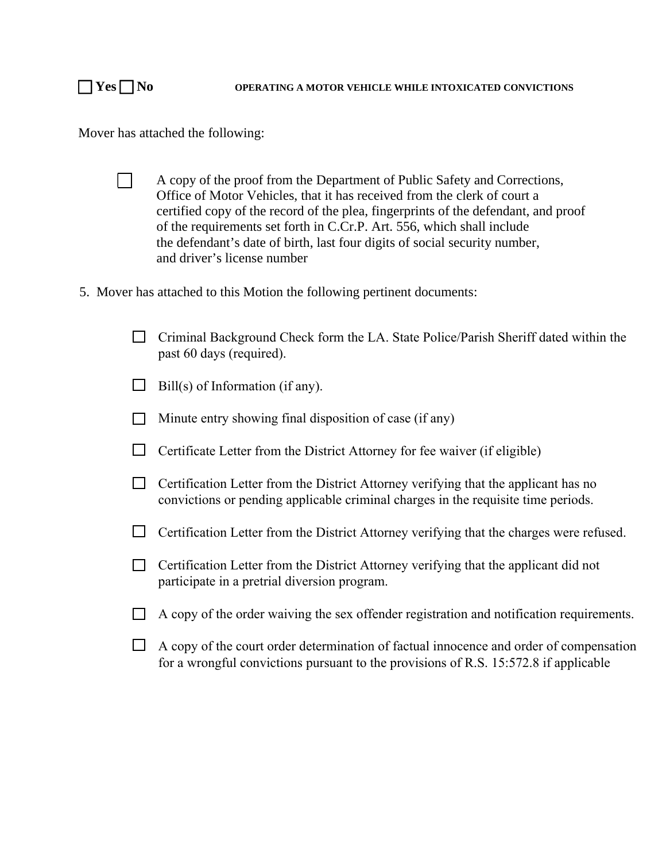Mover has attached the following:

- $\Box$  A copy of the proof from the Department of Public Safety and Corrections, Office of Motor Vehicles, that it has received from the clerk of court a certified copy of the record of the plea, fingerprints of the defendant, and proof of the requirements set forth in C.Cr.P. Art. 556, which shall include the defendant's date of birth, last four digits of social security number, and driver's license number
- 5. Mover has attached to this Motion the following pertinent documents:
	- $\Box$  Criminal Background Check form the LA. State Police/Parish Sheriff dated within the past 60 days (required).
	- $\Box$  Bill(s) of Information (if any).
	- $\Box$  Minute entry showing final disposition of case (if any)
	- $\Box$  Certificate Letter from the District Attorney for fee waiver (if eligible)
	- $\Box$  Certification Letter from the District Attorney verifying that the applicant has no convictions or pending applicable criminal charges in the requisite time periods.
	- $\Box$  Certification Letter from the District Attorney verifying that the charges were refused.
	- $\Box$  Certification Letter from the District Attorney verifying that the applicant did not participate in a pretrial diversion program.
	- $\Box$  A copy of the order waiving the sex offender registration and notification requirements.
	- $\Box$  A copy of the court order determination of factual innocence and order of compensation for a wrongful convictions pursuant to the provisions of R.S. 15:572.8 if applicable